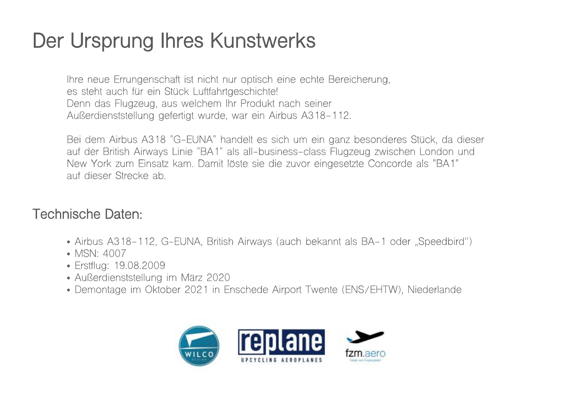## **Der Ursprung Ihres Kunstwerks**

Ihre neue Errungenschaft ist nicht nur optisch eine echte Bereicherung, es steht auch für ein Stück Luftfahrtgeschichte! Denn das Flugzeug, aus welchem Ihr Produkt nach seiner Außerdienststellung gefertigt wurde, war ein Airbus A318-112.

Bei dem Airbus A318 "G-EUNA" handelt es sich um ein ganz besonderes Stück, da dieser auf der British Airways Linie "BA1" als all-business-class Flugzeug zwischen London und New York zum Einsatz kam. Damit löste sie die zuvor eingesetzte Concorde als "BA1" auf dieser Strecke ab.

## **Technische Daten:**

- Airbus A318-112, G-EUNA, British Airways (auch bekannt als BA-1 oder "Speedbird")
- MSN: 4007
- Erstflug: 19.08.2009
- Außerdienststellung im März 2020
- Demontage im Oktober 2021 in Enschede Airport Twente (ENS/EHTW), Niederlande

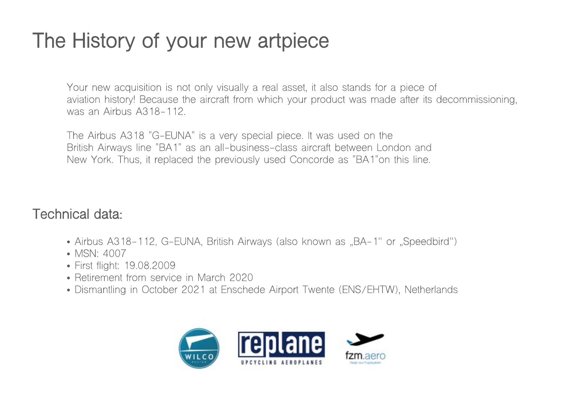## **The History of your new artpiece**

Your new acquisition is not only visually a real asset, it also stands for a piece of aviation history! Because the aircraft from which your product was made after its decommissioning, was an Airbus A318-112.

The Airbus A318 "G-EUNA" is a very special piece. It was used on the British Airways line "BA1" as an all-business-class aircraft between London and New York. Thus, it replaced the previously used Concorde as "BA1"on this line.

## **Technical data:**

- Airbus A318-112, G-EUNA, British Airways (also known as "BA-1" or "Speedbird")
- MSN: 4007
- First flight: 19.08.2009
- Retirement from service in March 2020
- Dismantling in October 2021 at Enschede Airport Twente (ENS/EHTW), Netherlands

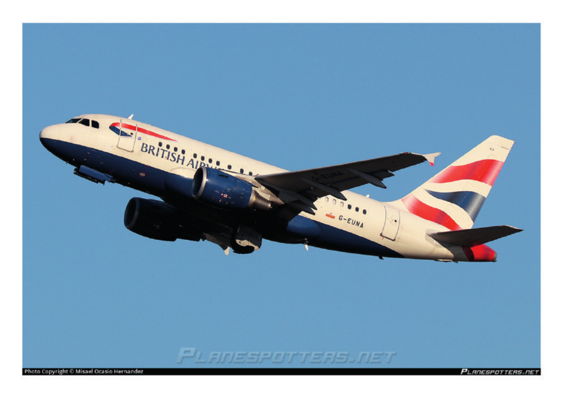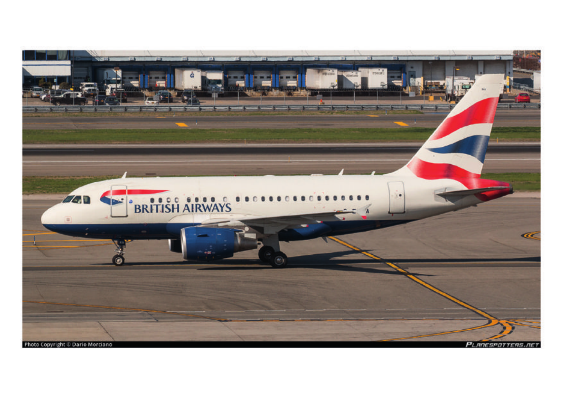